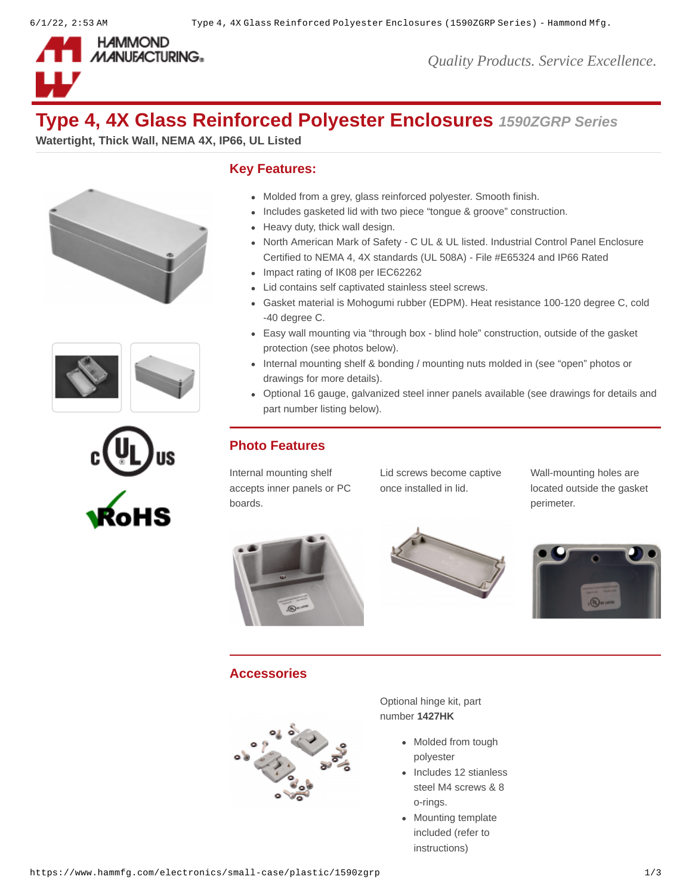

*Quality Products. Service Excellence.*

# **Type 4, 4X Glass Reinforced Polyester Enclosures** *1590ZGRP Series*

**Watertight, Thick Wall, NEMA 4X, IP66, UL Listed**







### **Key Features:**

- Molded from a grey, glass reinforced polyester. Smooth finish.
- Includes gasketed lid with two piece "tongue & groove" construction.
- Heavy duty, thick wall design.
- North American Mark of Safety C UL & UL listed. Industrial Control Panel Enclosure Certified to NEMA 4, 4X standards (UL 508A) - File #E65324 and IP66 Rated
- Impact rating of IK08 per IEC62262
- Lid contains self captivated stainless steel screws.
- Gasket material is Mohogumi rubber (EDPM). Heat resistance 100-120 degree C, cold -40 degree C.
- Easy wall mounting via "through box blind hole" construction, outside of the gasket protection (see photos below).
- Internal mounting shelf & bonding / mounting nuts molded in (see "open" photos or drawings for more details).
- Optional 16 gauge, galvanized steel inner panels available (see drawings for details and part number listing below).

# **Photo Features**

Internal mounting shelf accepts inner panels or PC boards.

Lid screws become captive once installed in lid.

Wall-mounting holes are located outside the gasket perimeter.







## **Accessories**



Optional hinge kit, part number **[1427HK](https://www.hammfg.com/part/1427HK)**

- Molded from tough polyester
- Includes 12 stianless steel M4 screws & 8 o-rings.
- Mounting template included (refer to instructions)